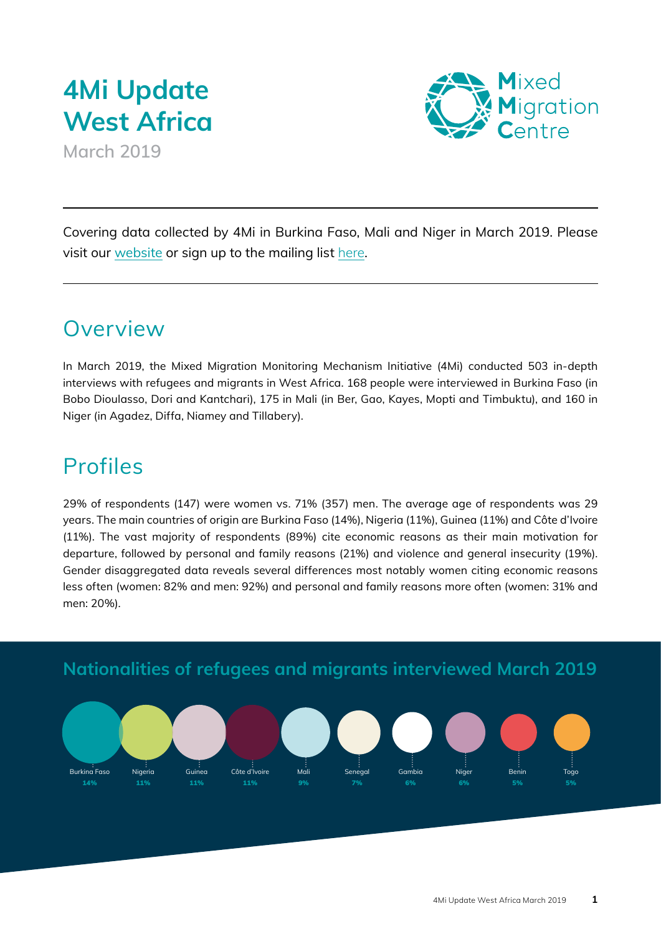# **4Mi Update West Africa**

**March 2019**



Covering data collected by 4Mi in Burkina Faso, Mali and Niger in March 2019. Please visit our [website](http://www.mixedmigration.org/regions/west-africa/) or sign up to the mailing list [here](https://regionalmms.us14.list-manage.com/subscribe/post?u=a7613556d90b71a4fbb4933cc&id=30758ed0d7).

### Overview

In March 2019, the Mixed Migration Monitoring Mechanism Initiative (4Mi) conducted 503 in-depth interviews with refugees and migrants in West Africa. 168 people were interviewed in Burkina Faso (in Bobo Dioulasso, Dori and Kantchari), 175 in Mali (in Ber, Gao, Kayes, Mopti and Timbuktu), and 160 in Niger (in Agadez, Diffa, Niamey and Tillabery).

### Profiles

Burkina Faso 14%

Nigeria 11%

Guinea 11%

Côte d'Ivoire 11%

29% of respondents (147) were women vs. 71% (357) men. The average age of respondents was 29 years. The main countries of origin are Burkina Faso (14%), Nigeria (11%), Guinea (11%) and Côte d'Ivoire (11%). The vast majority of respondents (89%) cite economic reasons as their main motivation for departure, followed by personal and family reasons (21%) and violence and general insecurity (19%). Gender disaggregated data reveals several differences most notably women citing economic reasons less often (women: 82% and men: 92%) and personal and family reasons more often (women: 31% and men: 20%).

Senegal 7%

Gambia 6%

Niger 6%

Mali 9%

**Nationalities of refugees and migrants interviewed March 2019**

Benin 5%

Togo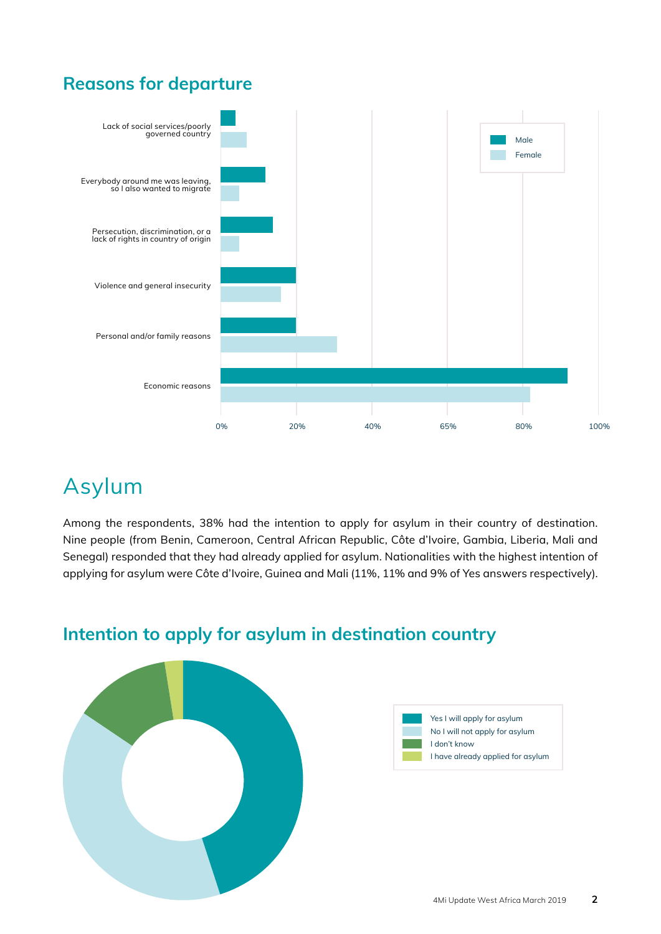#### **Reasons for departure**



## Asylum

Among the respondents, 38% had the intention to apply for asylum in their country of destination. Nine people (from Benin, Cameroon, Central African Republic, Côte d'Ivoire, Gambia, Liberia, Mali and Senegal) responded that they had already applied for asylum. Nationalities with the highest intention of applying for asylum were Côte d'Ivoire, Guinea and Mali (11%, 11% and 9% of Yes answers respectively).



#### **Intention to apply for asylum in destination country**